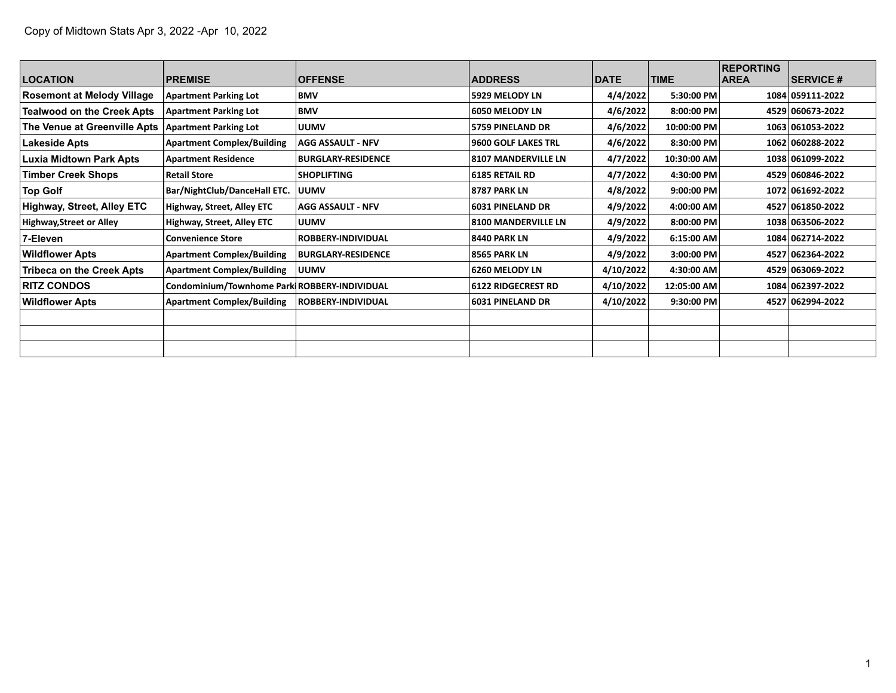|                                   |                                              |                           |                            |             |             | <b>REPORTING</b> |                  |
|-----------------------------------|----------------------------------------------|---------------------------|----------------------------|-------------|-------------|------------------|------------------|
| <b>LOCATION</b>                   | <b>PREMISE</b>                               | <b>OFFENSE</b>            | <b>ADDRESS</b>             | <b>DATE</b> | <b>TIME</b> | <b>AREA</b>      | <b>SERVICE #</b> |
| <b>Rosemont at Melody Village</b> | <b>Apartment Parking Lot</b>                 | <b>BMV</b>                | 5929 MELODY LN             | 4/4/2022    | 5:30:00 PM  |                  | 1084 059111-2022 |
| <b>Tealwood on the Creek Apts</b> | <b>Apartment Parking Lot</b>                 | <b>BMV</b>                | 6050 MELODY LN             | 4/6/2022    | 8:00:00 PM  |                  | 4529 060673-2022 |
| The Venue at Greenville Apts      | <b>Apartment Parking Lot</b>                 | <b>UUMV</b>               | <b>5759 PINELAND DR</b>    | 4/6/2022    | 10:00:00 PM |                  | 1063 061053-2022 |
| Lakeside Apts                     | <b>Apartment Complex/Building</b>            | <b>AGG ASSAULT - NFV</b>  | <b>9600 GOLF LAKES TRL</b> | 4/6/2022    | 8:30:00 PM  |                  | 1062 060288-2022 |
| <b>Luxia Midtown Park Apts</b>    | <b>Apartment Residence</b>                   | <b>BURGLARY-RESIDENCE</b> | <b>8107 MANDERVILLE LN</b> | 4/7/2022    | 10:30:00 AM |                  | 1038 061099-2022 |
| <b>Timber Creek Shops</b>         | <b>Retail Store</b>                          | <b>SHOPLIFTING</b>        | <b>6185 RETAIL RD</b>      | 4/7/2022    | 4:30:00 PM  |                  | 4529 060846-2022 |
| <b>Top Golf</b>                   | Bar/NightClub/DanceHall ETC.                 | <b>UUMV</b>               | <b>8787 PARK LN</b>        | 4/8/2022    | 9:00:00 PM  |                  | 1072 061692-2022 |
| Highway, Street, Alley ETC        | <b>Highway, Street, Alley ETC</b>            | <b>AGG ASSAULT - NFV</b>  | <b>6031 PINELAND DR</b>    | 4/9/2022    | 4:00:00 AM  |                  | 4527 061850-2022 |
| <b>Highway, Street or Alley</b>   | Highway, Street, Alley ETC                   | <b>UUMV</b>               | <b>8100 MANDERVILLE LN</b> | 4/9/2022    | 8:00:00 PM  |                  | 1038 063506-2022 |
| 7-Eleven                          | <b>Convenience Store</b>                     | ROBBERY-INDIVIDUAL        | 8440 PARK LN               | 4/9/2022    | 6:15:00 AM  |                  | 1084 062714-2022 |
| <b>Wildflower Apts</b>            | <b>Apartment Complex/Building</b>            | <b>BURGLARY-RESIDENCE</b> | <b>8565 PARK LN</b>        | 4/9/2022    | 3:00:00 PM  |                  | 4527 062364-2022 |
| <b>Tribeca on the Creek Apts</b>  | <b>Apartment Complex/Building</b>            | <b>UUMV</b>               | 6260 MELODY LN             | 4/10/2022   | 4:30:00 AM  |                  | 4529 063069-2022 |
| <b>RITZ CONDOS</b>                | Condominium/Townhome Park ROBBERY-INDIVIDUAL |                           | <b>6122 RIDGECREST RD</b>  | 4/10/2022   | 12:05:00 AM |                  | 1084 062397-2022 |
| <b>Wildflower Apts</b>            | <b>Apartment Complex/Building</b>            | <b>ROBBERY-INDIVIDUAL</b> | <b>6031 PINELAND DR</b>    | 4/10/2022   | 9:30:00 PM  |                  | 4527 062994-2022 |
|                                   |                                              |                           |                            |             |             |                  |                  |
|                                   |                                              |                           |                            |             |             |                  |                  |
|                                   |                                              |                           |                            |             |             |                  |                  |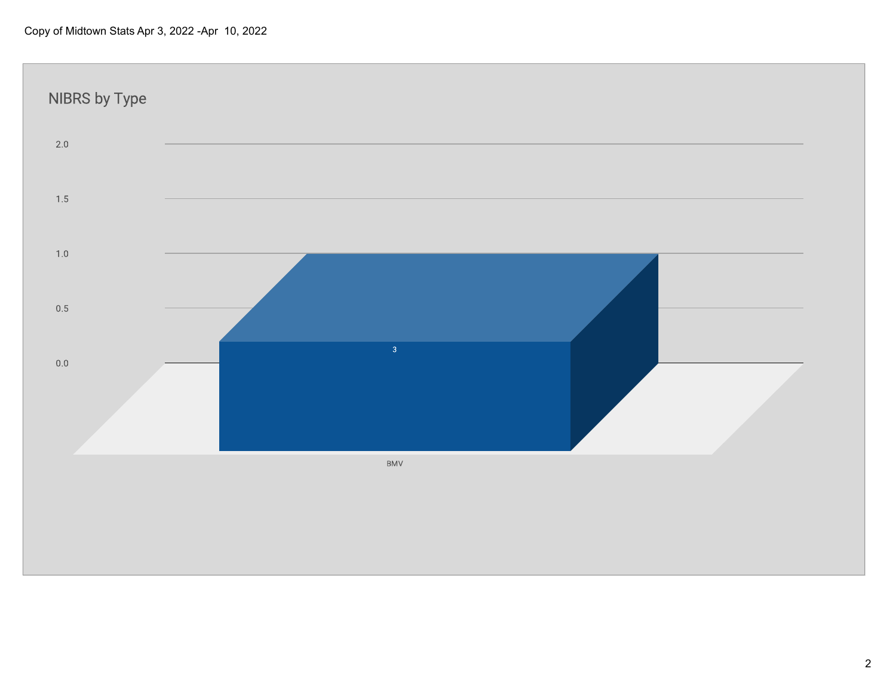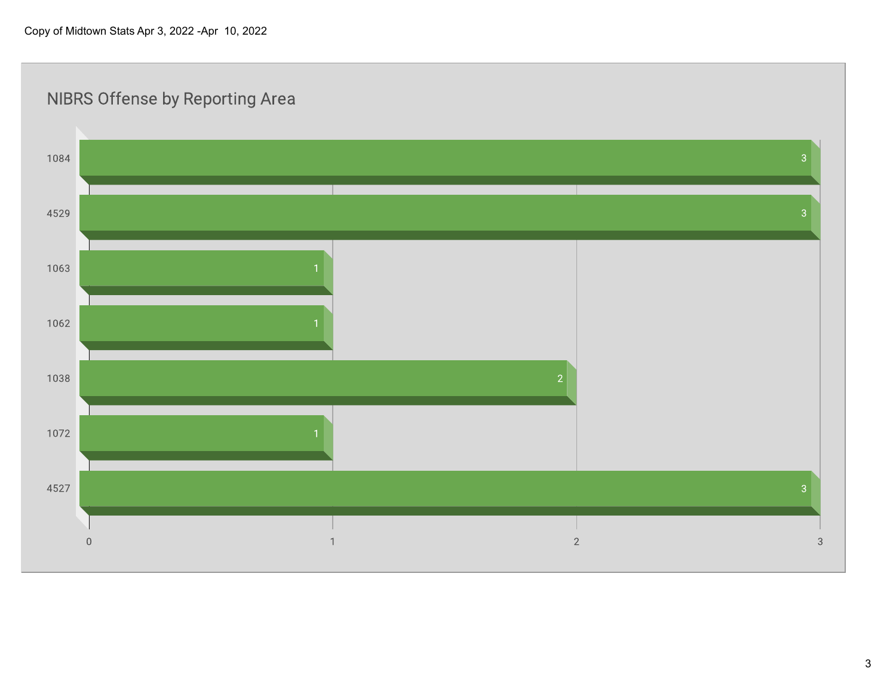

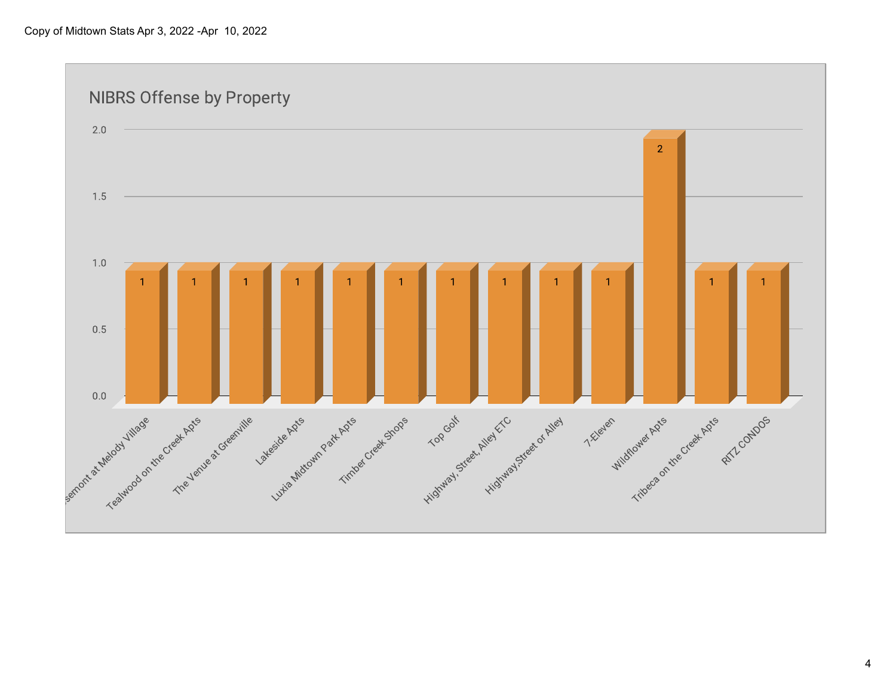